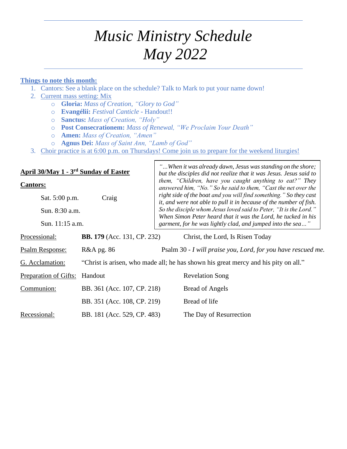# *Music Ministry Schedule May 2022*

#### **Things to note this month:**

- 1. Cantors: See a blank place on the schedule? Talk to Mark to put your name down!
- 2. Current mass setting: Mix
	- o **Gloria:** *Mass of Creation, "Glory to God"*
	- o **Evangélii:** *Festival Canticle -* Handout!!
	- o **Sanctus:** *Mass of Creation, "Holy"*
	- o **Post Consecrationem:** *Mass of Renewal, "We Proclaim Your Death"*
	- o **Amen:** *Mass of Creation, "Amen"*
	- o **Agnus Dei:** *Mass of Saint Ann, "Lamb of God"*
- 3. Choir practice is at 6:00 p.m. on Thursdays! Come join us to prepare for the weekend liturgies!

| April 30/May 1 - 3rd Sunday of Easter      |                                    | "When it was already dawn, Jesus was standing on the shore;<br>but the disciples did not realize that it was Jesus. Jesus said to                                                                                                                                    |  |
|--------------------------------------------|------------------------------------|----------------------------------------------------------------------------------------------------------------------------------------------------------------------------------------------------------------------------------------------------------------------|--|
| <b>Cantors:</b><br>Sat. 5:00 p.m.<br>Craig |                                    | them, "Children, have you caught anything to eat?" They<br>answered him, "No." So he said to them, "Cast the net over the<br>right side of the boat and you will find something." So they cast<br>it, and were not able to pull it in because of the number of fish. |  |
|                                            |                                    |                                                                                                                                                                                                                                                                      |  |
| Sun. 11:15 a.m.                            |                                    | When Simon Peter heard that it was the Lord, he tucked in his<br>garment, for he was lightly clad, and jumped into the sea"                                                                                                                                          |  |
| Processional:                              | <b>BB. 179</b> (Acc. 131, CP. 232) | Christ, the Lord, Is Risen Today                                                                                                                                                                                                                                     |  |
| Psalm Response:                            | R&A pg. 86                         | Psalm 30 - I will praise you, Lord, for you have rescued me.                                                                                                                                                                                                         |  |
| G. Acclamation:                            |                                    | "Christ is arisen, who made all; he has shown his great mercy and his pity on all."                                                                                                                                                                                  |  |
| Preparation of Gifts:                      | Handout                            | <b>Revelation Song</b>                                                                                                                                                                                                                                               |  |
| Communion:                                 | BB. 361 (Acc. 107, CP. 218)        | Bread of Angels                                                                                                                                                                                                                                                      |  |
|                                            | BB. 351 (Acc. 108, CP. 219)        | Bread of life                                                                                                                                                                                                                                                        |  |
| Recessional:                               | BB. 181 (Acc. 529, CP. 483)        | The Day of Resurrection                                                                                                                                                                                                                                              |  |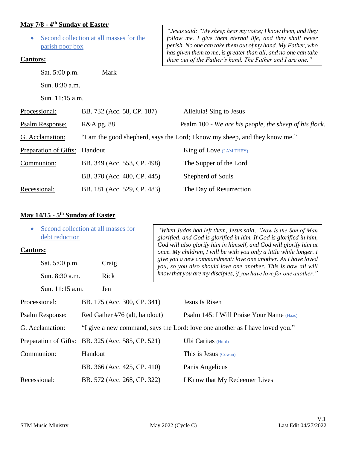#### **May 7/8 - 4 th Sunday of Easter**

| parish poor box<br><b>Cantors:</b>              | Second collection at all masses for the | "Jesus said: "My sheep hear my voice; I know them, and they<br>follow me. I give them eternal life, and they shall never<br>perish. No one can take them out of my hand. My Father, who<br>has given them to me, is greater than all, and no one can take |  |
|-------------------------------------------------|-----------------------------------------|-----------------------------------------------------------------------------------------------------------------------------------------------------------------------------------------------------------------------------------------------------------|--|
| Sat. 5:00 p.m.                                  | Mark                                    | them out of the Father's hand. The Father and I are one."                                                                                                                                                                                                 |  |
|                                                 |                                         |                                                                                                                                                                                                                                                           |  |
| Sun. 8:30 a.m.                                  |                                         |                                                                                                                                                                                                                                                           |  |
| Sun. 11:15 a.m.                                 |                                         |                                                                                                                                                                                                                                                           |  |
| Processional:                                   | BB. 732 (Acc. 58, CP. 187)              | Alleluia! Sing to Jesus                                                                                                                                                                                                                                   |  |
| <b>Psalm Response:</b><br><b>R&amp;A</b> pg. 88 |                                         | Psalm 100 - We are his people, the sheep of his flock.                                                                                                                                                                                                    |  |
| G. Acclamation:                                 |                                         | "I am the good shepherd, says the Lord; I know my sheep, and they know me."                                                                                                                                                                               |  |
| Preparation of Gifts:                           | Handout                                 | <b>King of Love</b> ( <i>I AM THEY</i> )                                                                                                                                                                                                                  |  |
| Communion:                                      | BB. 349 (Acc. 553, CP. 498)             | The Supper of the Lord                                                                                                                                                                                                                                    |  |
|                                                 | BB. 370 (Acc. 480, CP. 445)             | Shepherd of Souls                                                                                                                                                                                                                                         |  |
| Recessional:                                    | BB. 181 (Acc. 529, CP. 483)             | The Day of Resurrection                                                                                                                                                                                                                                   |  |

#### **May 14/15 - 5 th Sunday of Easter**

| Second collection at all masses for<br>$\bullet$<br>debt reduction<br><b>Cantors:</b> |         | "When Judas had left them, Jesus said, "Now is the Son of Man<br>glorified, and God is glorified in him. If God is glorified in him,<br>God will also glorify him in himself, and God will glorify him at<br>once. My children, I will be with you only a little while longer. I |                                                                                                                                                                                                       |                                                                              |
|---------------------------------------------------------------------------------------|---------|----------------------------------------------------------------------------------------------------------------------------------------------------------------------------------------------------------------------------------------------------------------------------------|-------------------------------------------------------------------------------------------------------------------------------------------------------------------------------------------------------|------------------------------------------------------------------------------|
| Sat. 5:00 p.m.                                                                        |         | Craig                                                                                                                                                                                                                                                                            | give you a new commandment: love one another. As I have loved<br>you, so you also should love one another. This is how all will<br>know that you are my disciples, if you have love for one another." |                                                                              |
| Sun. 8:30 a.m.                                                                        |         | Rick                                                                                                                                                                                                                                                                             |                                                                                                                                                                                                       |                                                                              |
| Sun. 11:15 a.m.                                                                       |         | Jen                                                                                                                                                                                                                                                                              |                                                                                                                                                                                                       |                                                                              |
| Processional:                                                                         |         | BB. 175 (Acc. 300, CP. 341)                                                                                                                                                                                                                                                      |                                                                                                                                                                                                       | Jesus Is Risen                                                               |
| <b>Psalm Response:</b>                                                                |         | Red Gather #76 (alt, handout)                                                                                                                                                                                                                                                    |                                                                                                                                                                                                       | Psalm 145: I Will Praise Your Name (Haas)                                    |
| G. Acclamation:                                                                       |         |                                                                                                                                                                                                                                                                                  |                                                                                                                                                                                                       | "I give a new command, says the Lord: love one another as I have loved you." |
| Preparation of Gifts:                                                                 |         | BB. 325 (Acc. 585, CP. 521)                                                                                                                                                                                                                                                      |                                                                                                                                                                                                       | Ubi Caritas (Hurd)                                                           |
| Communion:                                                                            | Handout |                                                                                                                                                                                                                                                                                  |                                                                                                                                                                                                       | This is Jesus (Cowan)                                                        |
|                                                                                       |         | BB. 366 (Acc. 425, CP. 410)                                                                                                                                                                                                                                                      |                                                                                                                                                                                                       | Panis Angelicus                                                              |
| Recessional:                                                                          |         | BB. 572 (Acc. 268, CP. 322)                                                                                                                                                                                                                                                      |                                                                                                                                                                                                       | I Know that My Redeemer Lives                                                |

٦